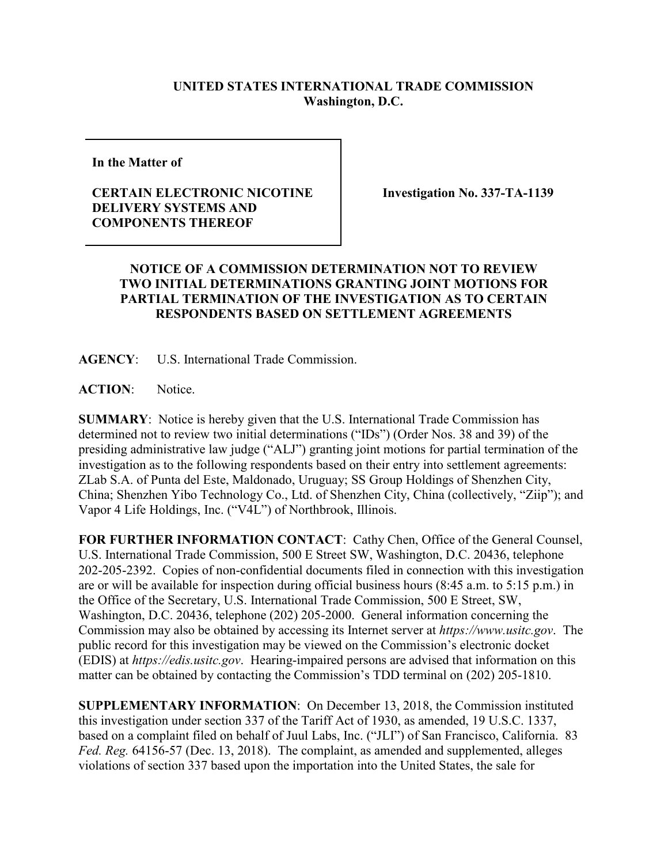## **UNITED STATES INTERNATIONAL TRADE COMMISSION Washington, D.C.**

**In the Matter of**

## **CERTAIN ELECTRONIC NICOTINE DELIVERY SYSTEMS AND COMPONENTS THEREOF**

**Investigation No. 337-TA-1139**

## **NOTICE OF A COMMISSION DETERMINATION NOT TO REVIEW TWO INITIAL DETERMINATIONS GRANTING JOINT MOTIONS FOR PARTIAL TERMINATION OF THE INVESTIGATION AS TO CERTAIN RESPONDENTS BASED ON SETTLEMENT AGREEMENTS**

**AGENCY**: U.S. International Trade Commission.

**ACTION**: Notice.

**SUMMARY**: Notice is hereby given that the U.S. International Trade Commission has determined not to review two initial determinations ("IDs") (Order Nos. 38 and 39) of the presiding administrative law judge ("ALJ") granting joint motions for partial termination of the investigation as to the following respondents based on their entry into settlement agreements: ZLab S.A. of Punta del Este, Maldonado, Uruguay; SS Group Holdings of Shenzhen City, China; Shenzhen Yibo Technology Co., Ltd. of Shenzhen City, China (collectively, "Ziip"); and Vapor 4 Life Holdings, Inc. ("V4L") of Northbrook, Illinois.

**FOR FURTHER INFORMATION CONTACT**: Cathy Chen, Office of the General Counsel, U.S. International Trade Commission, 500 E Street SW, Washington, D.C. 20436, telephone 202-205-2392. Copies of non-confidential documents filed in connection with this investigation are or will be available for inspection during official business hours (8:45 a.m. to 5:15 p.m.) in the Office of the Secretary, U.S. International Trade Commission, 500 E Street, SW, Washington, D.C. 20436, telephone (202) 205-2000. General information concerning the Commission may also be obtained by accessing its Internet server at *https://www.usitc.gov*. The public record for this investigation may be viewed on the Commission's electronic docket (EDIS) at *https://edis.usitc.gov*. Hearing-impaired persons are advised that information on this matter can be obtained by contacting the Commission's TDD terminal on (202) 205-1810.

**SUPPLEMENTARY INFORMATION**: On December 13, 2018, the Commission instituted this investigation under section 337 of the Tariff Act of 1930, as amended, 19 U.S.C. 1337, based on a complaint filed on behalf of Juul Labs, Inc. ("JLI") of San Francisco, California. 83 *Fed. Reg.* 64156-57 (Dec. 13, 2018). The complaint, as amended and supplemented, alleges violations of section 337 based upon the importation into the United States, the sale for